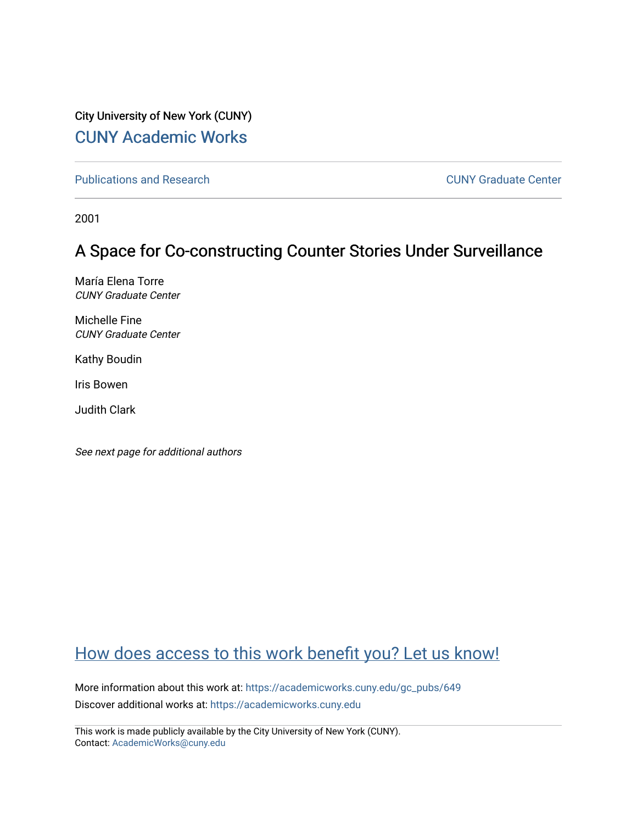City University of New York (CUNY) [CUNY Academic Works](https://academicworks.cuny.edu/) 

[Publications and Research](https://academicworks.cuny.edu/gc_pubs) [CUNY Graduate Center](https://academicworks.cuny.edu/gc) 

2001

# A Space for Co-constructing Counter Stories Under Surveillance

María Elena Torre CUNY Graduate Center

Michelle Fine CUNY Graduate Center

Kathy Boudin

Iris Bowen

Judith Clark

See next page for additional authors

# [How does access to this work benefit you? Let us know!](http://ols.cuny.edu/academicworks/?ref=https://academicworks.cuny.edu/gc_pubs/649)

More information about this work at: [https://academicworks.cuny.edu/gc\\_pubs/649](https://academicworks.cuny.edu/gc_pubs/649) Discover additional works at: [https://academicworks.cuny.edu](https://academicworks.cuny.edu/?)

This work is made publicly available by the City University of New York (CUNY). Contact: [AcademicWorks@cuny.edu](mailto:AcademicWorks@cuny.edu)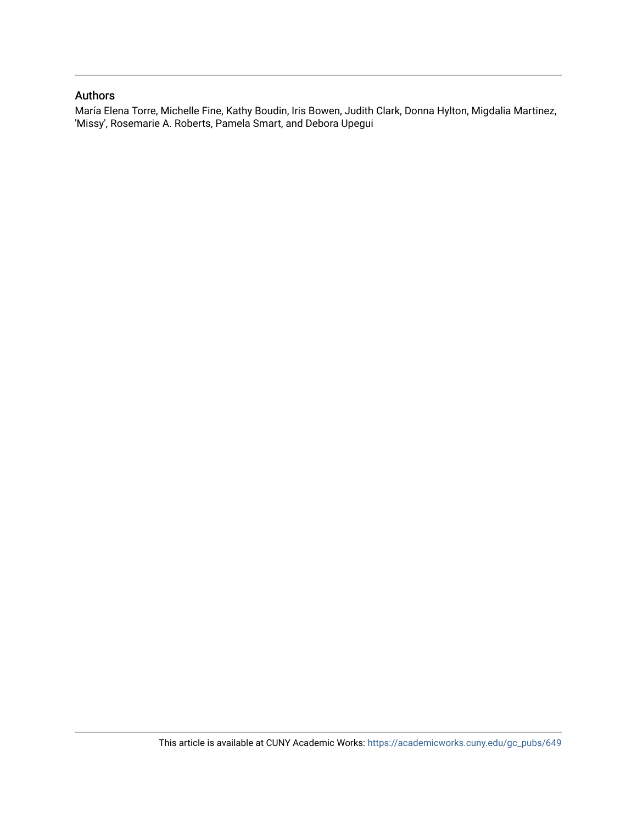## Authors

María Elena Torre, Michelle Fine, Kathy Boudin, Iris Bowen, Judith Clark, Donna Hylton, Migdalia Martinez, 'Missy', Rosemarie A. Roberts, Pamela Smart, and Debora Upegui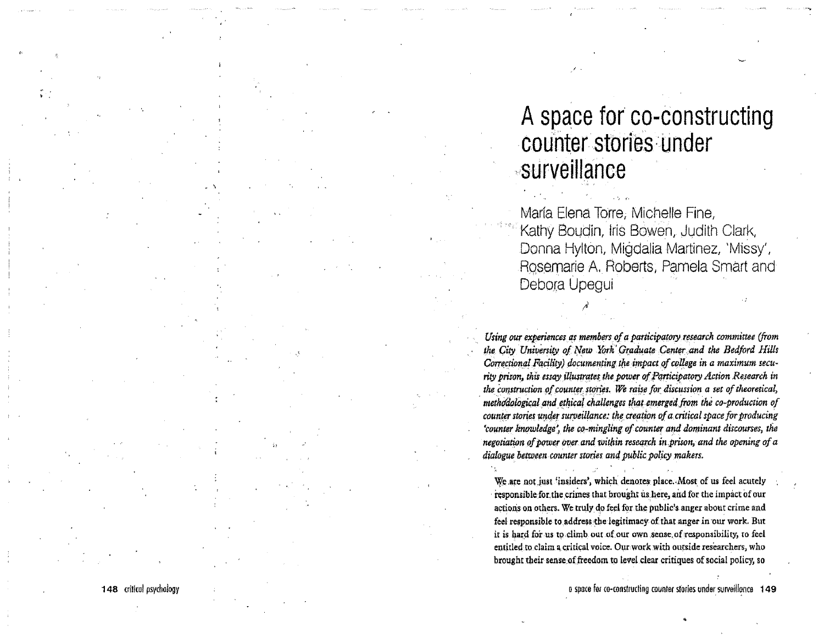A space for co-constructing counter stories under surveillance

María Elena Torre, Michelle Fine, Kathy Boudin, Iris Bowen, Judith Clark, Donna Hylton, Migdalia Martinez, 'Missy', Rosemarie A. Roberts, Pamela Smart and Debora Upequi

Using our experiences as members of a participatory research committee (from the City University of New York Graduate Center and the Bedford Hills Correctional Facility) documenting the impact of college in a maximum security prison, this essay illustrates the power of Participatory Action Research in the construction of counter stories. We raise for discussion a set of theoretical, methodological and ethical challenges that emerged from the co-production of counter stories under surveillance: the creation of a critical space for producing 'counter knowledge', the co-mingling of counter and dominant discourses, the negotiation of power over and within research in prison, and the opening of a dialogue between counter stories and public policy makers.

We are not just 'insiders', which denotes place. Most of us feel acutely responsible for the crimes that brought us here, and for the impact of our actions on others. We truly do feel for the public's anger about crime and feel responsible to address the legitimacy of that anger in our work. But it is hard for us to climb out of our own sense of responsibility, to feel entitled to claim a critical voice. Our work with outside researchers, who brought their sense of freedom to level clear critiques of social policy, so

a space for co-constructing counter stories under surveillance 149

148 critical psychology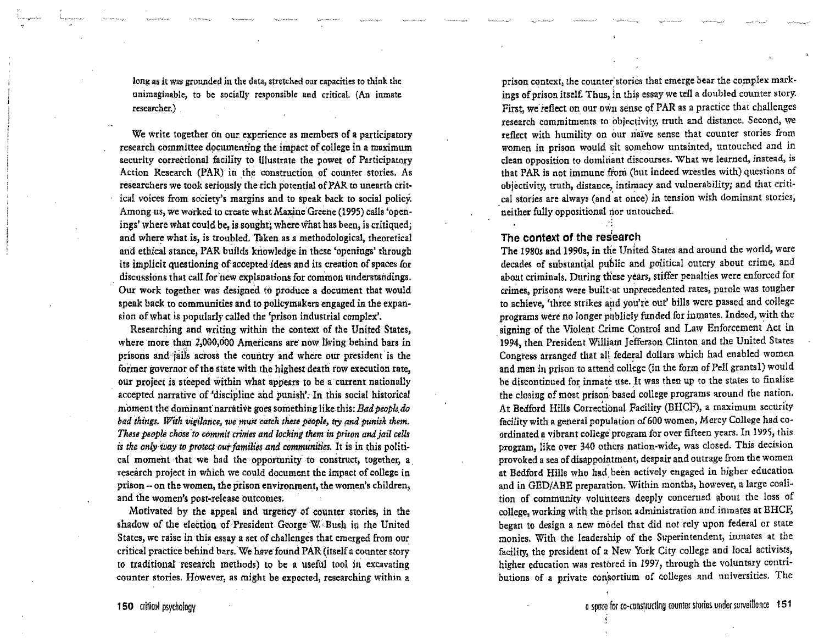long as it was grounded in the data, stretched our capacities to think the unimaginable, to be socially responsible and crlticd. (An inmate researcher.)

We write together on our experience as members of a participatory research committee documenting the impact of college in a maximum security correctional facility to illustrate the power of Participatory Action Research (PAR) in the construction of counter stories. As researchers we took seriously the rich potential of PAR to unearth critical voices from society's margins and to speak back to social policy. Among us, we worked to create what Maxine Greene (1995) calls 'openings' where what could be, is sought; where what has been, is critiqued; and where what is, is troubled. Taken as a methodological, theoretical and ethical stance, PAR builds knowledge in these 'openings' through its implicit questioning of accepted ideas and its creation of spaces for discussions that call for 'new explanations for common understandings. Our work together was designed to produce a document that would speak back to communities and to policymakers engaged in the expan• sion of what is popularly called the 'prison industrial complex'.

Researching and writing within the context of the United States, where more than 2,000;000 Americans ate now living behind bars in prisons and jails across the country and where our president'is the former governor of the state with the highest death row execution rate, our project is steeped within what appears to be a· current nationally accepted narrative of'discipline and punish'; In this social historical moment the dominant narrative goes something like this: *Bad people do bad things. With vigilance, we must catch these people, try and punish them. These people chose to commit crimes and locking them in prison and jail cells is the only way to protect our families and communities.* It is in this political moment that we had the opportunity to construct, together, a research project in which we could document the impact of college in prison - on the women, the prison environment, the women's children, and the women's post-release outcomes;

Motivated by the appeal and urgency of counter stories, in the shadow of the election of President-George W: Bush in the United States, we raise in this essay a set of challenges that emerged from our critical practice behind bars. We have found PAR (itself a counter story to traditional research methods) to be a useful tool in excavating counter stories. However, as might be expected, researching within a

prison context, the counter'stories that emerge bear the complex mark• ings of prison itself. Thus, in this essay we tell a doubled counter story. First, we reflect on our own sense of PAR as a practice that challenges research commitments to objectivity, truth and distance. Second, we reflect with humility on our naïve sense that counter stories from women in prison would sit somehow untainted, untouched and in clean opposition to dominant discourses. What we learned, instead, is that PAR is not immune from (but indeed wrestles with) questions of objectivity, truth, distance, intimacy and vulnerability; and that critical stories are always (and at once) in tension with dominant stories, neither fully oppositional nor untouched.

#### **The context of the research**

The 1980s and 1990s, in the United States and around the world, were decades of substantial public and political outcry about crime, and about criminals. During these years, stiffer penalties were enforced for crimes, prisons were built at unprecedented rates, parole was tougher to achieve, 'three strikes and you're out' bills were passed and college programs were no longer publicly funded for inmates. Indeed, with the signing of the Violent Crime Control and Law Enforcement Act in 1994, then President William Jefferson Clinton and the United States Congress arranged that ali federal dollars which had enabled women and men in prison to attend college (in the form of Pell grants I) would be discontinued for inmate use. It was then up to the states to finalise the closing of most prison based college programs around the nation. At Bedford Hills Correctional Facility (BHCF), a maximum security facility with a general population of 600 women, Mercy College had co• ordinated a vibrant college program for over fifteen years. In 1995, this program, like over 340 others nation-wide, was closed. This decision provoked a sea of disappointment, despair and outrage from the women at Bedford Hills who had been actively engaged in higher education and in GED/ABE preparation. Within months, however, a large coalition of community volunteers deeply concerned about the loss of college, working with the prison administration and inmates at BHCF, began to design a new model that did not rely upon federal or state monies, With the leadership of the Superintendent, inmates at the facility, the president of a New York City college and local activists, higher education was restored in 1997, through the voluntary contributions of a private consortium of colleges and universities. The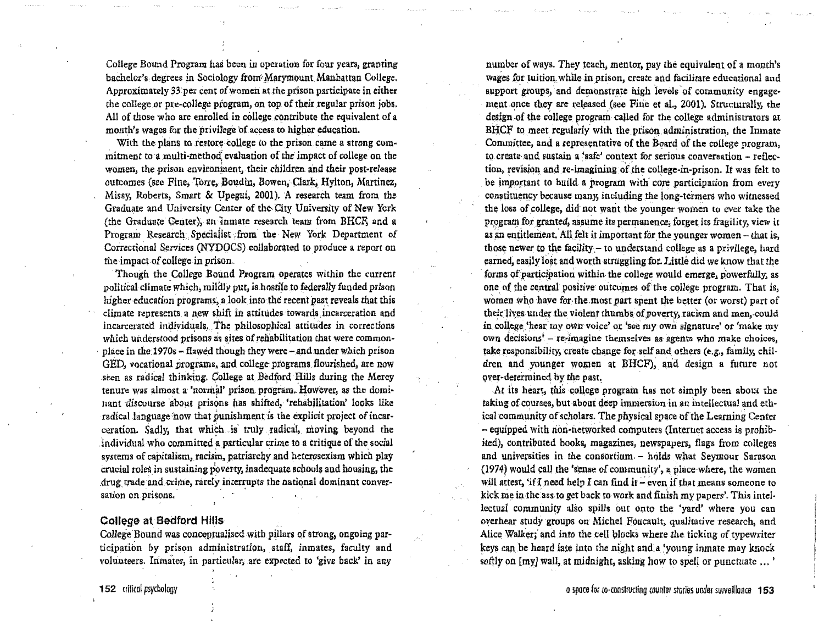College Bound Program has been in operation for four years, granting bachelor's degrees in Sociology from Marymount Manhattan College. Approximately 33 per cent of women at the prison participate in either the college or pre-college program, on top of their regular prison jobs. All of those who are enrolled in college contribute the equivalent of a month's wages for the privilege of access to higher education.

With the plans to restore college to the prison came a strong commitment to a multi-method evaluation of the impact of college on the women, the prison environment, their children and their post-release outcomes (see Fine, Torre, Boudin, Bowen, Clark, Hylton, Martinez, Missy, Roberts, Smart & Upegui, 2001). A research team from the Graduate and University Center of the City University of New York (the Graduate Center), an inmate research team from BHCF; and a Program Research; Specialist .from the New York Department of Correctional Services (NVDQCS) collaborated to produce a report on the impact of college in prison.

Though the College Bound Program operates within the current political climate which, mildly put, is hostile to federally funded prison higher education programs, a look into the recent past reveals that this climate represents a new shift in attitudes towards incarceration and incarcerated individuals. The philosophical attitudes in corrections which understood prisons as sites of rehabilitation that were commonplace in the 1970s – flawed though they were – and under which prison GED, vocational programs, and college programs flourished, are now seen as radical thinking. College at Bedford Hills during the Mercy tenure was almost a 'normal' prison program. However, as the dominant discourse about prisons has shifted, 'rehabilitation' looks like radical language now that punishment is the explicit project of incar• ceration. Sadly, that which is truly radical, moving beyond the individual who committed a particular crime to a critique of the social systems of capitalism, racism, patriarchy and heterosexism which play crucial roles in sustaining poverty, inadequate schools and housing, the drug trade and crime, rarely interrupts the national dominant conversation on prisons.

#### **College at Bedford Hills**

College Bound was conceptualised with pillars of strong, ongoing participation by prison administration, staff, inmates, faculty and volunteers. Inmates, in particular, are expected to 'give back' in any

number of ways. They teach, mentor, pay the equivalent of a month's wages for tuition while in prison, create and facilitate educational and support groups, and demonstrate high levels of community engagement once they are released (see Fine et al., 2001). Structurally, the design of the college program called for the college administrators at BHCF to meet regularly with the prison.administration, the Inmate Committee, and a representative of the Board of the college program, to create and sustain a 'safe' context for serious conversation - reflection, revision and re-imagining of the college-in-prison. It was felt to be important to build a program with core participation from every constituency because many, including the long•termers who witnessed the loss of college, did not want the younger women to ever take the program for granted, assume its permanence, forget its fragility, view it as an entitlement. All felt it important for the younger women - that is, those newer to the facility - to understand college as a privilege, hard earned, easily lost and worth struggling for. Little did we know that the forms of participation within the college would emerge, powerfully, as one of the central positive outcomes of the college program. That is, women who have for the most part spent the better (or worst) part of their lives under the violent thumbs of poverty, racism and men, could in college, hear my own voice' or 'see my own signature' or 'make my own decisions' - re-imagine themselves as agents who make choices, take responsibility, create change for self and others (e.g., family, children and younger women at BHCF), and design a future not over-determined by the past,

At its heart, this college program has not simply been about the taking of courses, but about deep immersion in an intellectual and ethical community of scholars. The physical space of the Learning Center - equipped with non-networked computers (Internet access is prohibited), contributed books, magazines, newspapers, flags from colleges and universities in the consortium. - holds what Seymour Sarason (1974) would call the 'sense of community', a place where, the women will attest, 'if I need help I can find it – even if that means someone to kick me in the ass to get back to work and finish my papers'. This intellectual community also spills out onto the 'yard' where you can overhear study groups on Michel Foucault, qualitative research, and Alice Walker; and into the cell blocks where the ticking of typewriter keys can be heard late into the night and a 'young inmate may knock softly on [my] wall, at midnight, asking how to spell or punctuate ... '

o space for co-constru!ling counter stories unde1 su,veillonce **153** 

152 critical psychology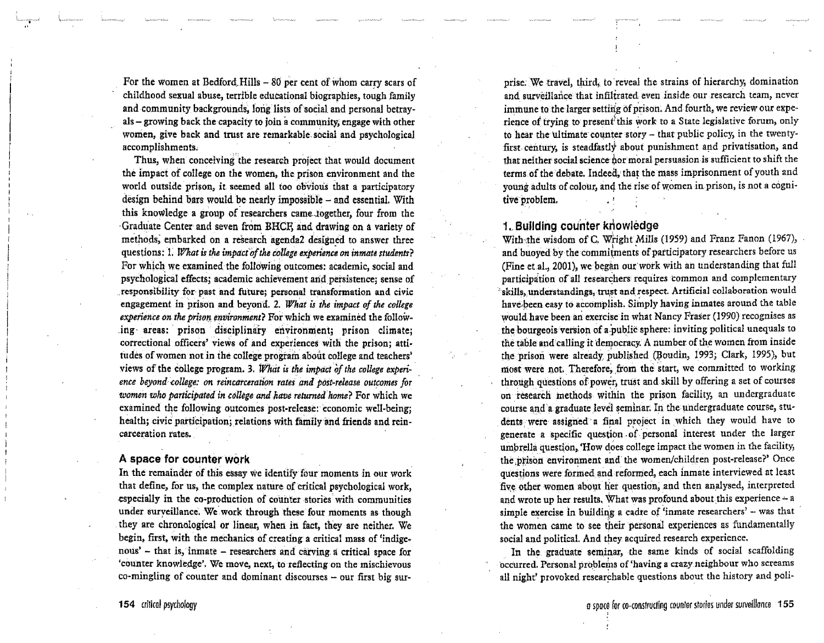For the women at Bedford Hills - 80 per cent of whom carry scars of childhood sexual abuse, terrible educational biographies, tough family and community backgrounds, long lists of social and personal betrayals - growing back the capacity to join a community, engage with other women, give back and trust are remarkable social and psychological accomplishments.

Thus, when conceiving the research project that would document the impact of college on the women, the prison environment and the world outside prison, it seemed all too obvious that a participatory design behind bars would be nearly impossible - and essential. With this knowledge a group of researchers came together, four from the ·Graduate Center and seven from BHCF, and drawing on a variety of methods, embarked on a research agenda2 designed to answer three questions: I. *What is the impact of the college experience on inmate students?* For which we examined the following outcomes: academic, social and psychological effects; academic achievement.arid persistence; sense of . responsibility for· past and future; personal transformation and civic engagement in prison and beyond. 2. *What is the impact of the college experience on the prison environment?* For which we examined the following areas: prison disciplinary environment; prison climate; correctional officers' views of and experiences with the prison; attitudes of women not in the college program about college and teachers' views of the college program. 3. *What is the impact of the college experi*ence beyond college: on reincarceration rates and post-release outcomes for *women who participated in college and have returned home?* For which we examined the following outcomes post-release: economic well-being; health; civic participation; relations with family and friends and reincarceration rates.

#### A space for counter work

In the remainder of this essay we identify four moments in our work that define, for us, the complex nature of critical psychological work, -especially in the co-production of counter stories with communities under surveillance. We work through these four moments as though they are chronological or linear, when in fact, they are neither. We begin, first, with the mechanics of creating a critical mass of 'indigenous' - that is, inmate - researchers and carving. a critical space for 'counter knowledge'. We move, next, to reflecting on the mischievous  $co$ -mingling of counter and dominant discourses  $-$  our first big sur-

prise. We travel, third, to reveal the strains of hierarchy, domination and surveillance that infiltrated even inside our research team, never immune to the larger setting of prison. And fourth, we review our experience of trying to present this work to a State legislative forum, only to hear the ultimate counter story  $-$  that public policy, in the twentyfirst century, is steadfastly about punishment and privatisation, and that neither social science nor moral persuasion is sufficient to shift the terms of the debate. Indeed, that the mass imprisonment of youth and young adults of colour, and the rise of women in prison, is not a cognitive problem.

## 1. **Building counter knowledge**

With the wisdom of C. Wright Mills (1959) and Franz Fanon (1967), and buoyed by the commitments of participatory researchers before us (Fine et al., 2001), we began our work with an understanding that full participation of all researchers requires common and complementary skills, understandings, trust and respect. Artificial collaboration would have been easy to accomplish. Simply having inmates around the table would have been an exercise in what Nancy Fraser (1990) recognises as the bourgeois version of a public sphere: inviting political unequals to the table and calling it democracy. A number of the women from inside the prison were already published (Boudin, 1993; Clark, 1995), but most were not. Therefore, from the start, we committed to working through questions of power, ttust and skill by offering a set of courses on research methods within the prison facility, an undergraduate course and a graduate level seminar. In the undergraduate course, students were assigned a final project in which they would have to generate a specific question . of personal interest under the larger umbrella question, 'How does college impact the women in the facility, the prison environment and the women/children post-release?' Once questions were formed and reformed, each inmate interviewed at least five other women about her question, and then analysed, interpreted and wrote up her results. What was profound about this experience  $-$  a simple exercise in building a cadre of 'inmate researchers' - was that the women came to see their personal experiences as fundamentally social and political. And they acquired research experience.

In the. graduate seminar, the same kinds of social scaffolding occurred. Personal problems of 'having a crazy neighbour who screams all night' provoked researchable questions about the history and poli-

'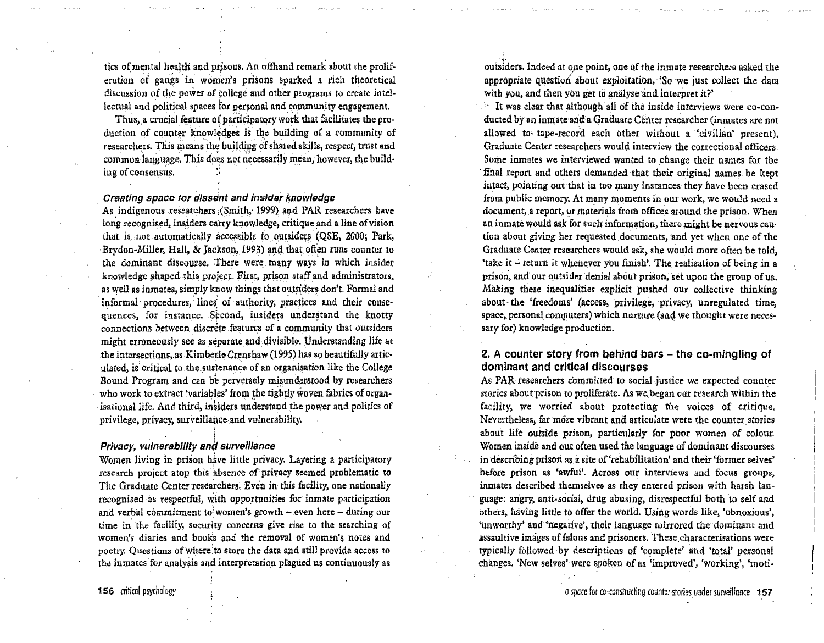tics of mental health and prisons. An offhand remark about the proliferation of gangs in women's prisons sparked a rich theoretical discussion of the power of college and other programs to create intellectual and political spaces for personal and community engagement.

Thus, a crucial feature of participatory work that facilitates the production of counter knowledges is the building of a community of researchers. This means the building of shared skills, respect, trust and common language. This does not necessarily mean, however, the building of consensus.

#### Creating space for dissent and insider knowledge

As indigenous researchers (Smith, 1999) and PAR researchers have long recognised, insiders carry knowledge, critique and a line of vision that is not automatically accessible to outsiders (QSE, 2000; Park, Brydon-Miller, Hall, & Jackson, 1993) and that often runs counter to the dominant discourse. There were many ways in which insider knowledge shaped this project. First, prison staff and administrators, as well as inmates, simply know things that outsiders don't. Formal and informal procedures. lines of authority, practices and their consequences, for instance. Second, insiders understand the knotty connections between discrete features of a community that outsiders might erroneously see as separate and divisible. Understanding life at the intersections, as Kimberle Crenshaw (1995) has so beautifully articulated, is critical to the sustenance of an organisation like the College Bound Program and can be perversely misunderstood by researchers who work to extract 'variables' from the tightly woven fabrics of organisational life. And third, insiders understand the power and politics of privilege, privacy, surveillance and vulnerability.

#### Privacy, vulnerability and surveillance

Women living in prison have little privacy. Layering a participatory research project atop this absence of privacy seemed problematic to The Graduate Center researchers. Even in this facility, one nationally recognised as respectful, with opportunities for inmate participation and verbal commitment to women's growth - even here - during our time in the facility, security concerns give rise to the searching of women's diaries and book's and the removal of women's notes and poetry. Ouestions of where to store the data and still provide access to the inmates for analysis and interpretation plagued us continuously as

space, personal computers) which nurture (and we thought were necessarv for) knowledge production.

### 2. A counter story from behind bars – the co-mingling of dominant and critical discourses

outsiders. Indeed at one point, one of the inmate researchers asked the

appropriate question about exploitation. 'So we just collect the data

It was clear that although all of the inside interviews were co-con-

ducted by an inmate and a Graduate Center researcher (inmates are not

allowed to tape-record each other without a 'civilian' present).

Graduate Center researchers would interview the correctional officers.

Some inmates we interviewed wanted to change their names for the final report and others demanded that their original names be kept

intact, pointing out that in too many instances they have been erased

from public memory. At many moments in our work, we would need a

document, a report, or materials from offices around the prison. When

an inmate would ask for such information, there might be nervous cau-

tion about giving her requested documents, and yet when one of the

Graduate Center researchers would ask, she would more often be told, 'take it  $\div$  return it whenever you finish'. The realisation of being in a

prison, and our outsider denial about prison, set upon the group of us.

Making these inequalities explicit pushed our collective thinking about the 'freedoms' (access, privilege, privacy, unregulated time,

with you, and then you get to analyse and interpret it?'

As PAR researchers committed to social justice we expected counter stories about prison to proliferate. As we began our research within the facility, we worried about protecting the voices of critique. Nevertheless, far more vibrant and articulate were the counter stories about life outside prison, particularly for poor women of colour. Women inside and out often used the language of dominant discourses in describing prison as a site of 'rehabilitation' and their 'former selves' before prison as 'awful'. Across our interviews and focus groups, inmates described themselves as they entered prison with harsh language: angry, anti-social, drug abusing, disrespectful both to self and others, having little to offer the world. Using words like, 'obnoxious', 'unworthy' and 'negative', their language mirrored the dominant and assaultive images of felons and prisoners. These characterisations were typically followed by descriptions of 'complete' and 'total' personal changes. 'New selves' were spoken of as 'improved', 'working', 'moti-

a space for co-constructing counter stories under surveillance 157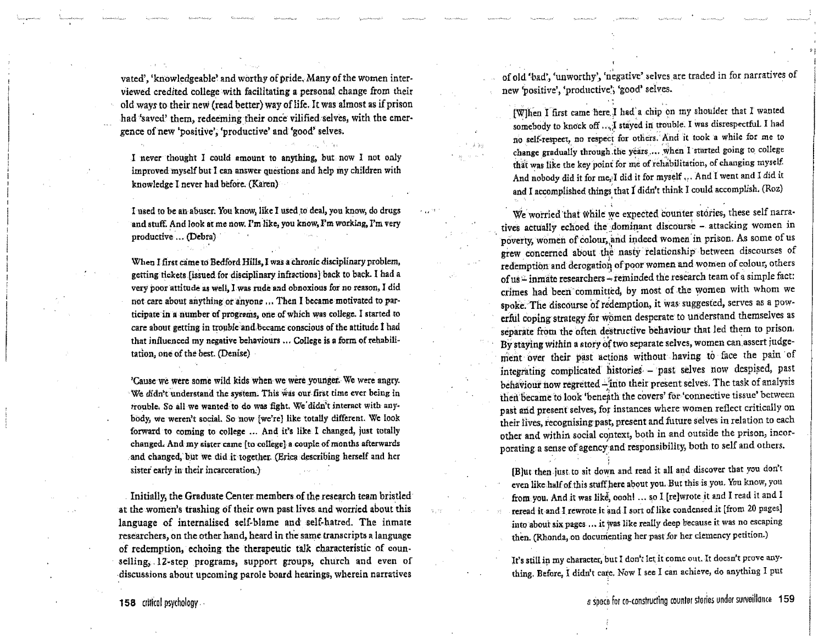vated', 'knowledgeable' and worthy of pride, Many of the women inter• viewed credited college with facilitating a personal change from their old ways to their new (read better) way of life. It was almost as if prison had 'saved' them, redeeming their once vilified selves, with the emer• gence of new 'positive', 'productive' and 'good' selves.

I never thought I could amount to anything, but now I not only improved myself but I can answer questions and help my children with knowledge I never had before. (Karen)

I used to be an abuser. You know, like I used to deal, you know, do drugs and stuff. And look **at** me now. I'm like, you know,l'm working, I'm very productive ... (Debra)

When I first came to Bedford Hills, I was a chronic disciplinary problem, getting tickets [issued for disciplinary infractions]back to back. I had a very poor attitude as well, lwas rude and obnoxious for no reason, I did not care about anything or anyone ... Then I became motivated to participate in a number of programs, one of which was college. I started to care about getting in trouble and,became conscious ofthe attitude I had that influenced my negative behaviours ... College is a form of rehabili• tation, one of the best. (Denise}

'Cause we were some wild kids when we were younger. We were angry. We didn't understand the system. This was our first time ever being in trouble. So all we wanted to do was fight. We didn't interact with anybody, we weren't social. So now {we're] like totally different. We look forward to coming to college ... And it's like. I changed, just totally changed. And my sister came [to college]-a couple of months afterwards and changed, but we did it together. (Erica describing herself and her sister early in their incarceration,)

Initially, the Graduate Center members of the research team bristled at the women's trashing of their own past lives and worried about this language of internalised self-blame and self.hatred. The inmate researchers, on the other hand, heard in the same transcripts a language of redemption, echoing. the therapeutic talk characteristic of counselling; . 12•step programs, support groups, church and even of ,discussions about upcoming parole board hearings, wherein narratives

of old 'bad', 'unworthy', 'negative' selves are traded in for narratives of new 'positive', 'productive', 'good' selves.

[W]hen I first came here I had a chip on my shoulder that I wanted somebody to knock off ... I stayed in trouble. I was disrespectful. I had no self-respect, no respect for others. And it took a while for me to change gradually through the years .... when I started going to college that was like the key point for me of rehabilitation, of changing myself. And nobody did it for me, I did it for myself ... And I went and I did it and I accomplished things that I didn't think I could accomplish. (Roz)

We worried that while we expected counter stories, these self narratives actually echoed the dominant discourse - attacking women in poverty, women of colour, and indeed women in prison. As some of us grew concerned about the nasty relationship between discourses of redemption and derogation of poor women and women of colour, others of us = inmate researchers - reminded the research team of a simple fact: crimes had been committed, by most of the women with whom we spoke. The discourse of redemption, it was suggested, serves as a powerful coping strategy for women desperate to understand themselves as separate from the often destructive behaviour that led them to prison. By staying within a story of two separate selves, women can assert judgement over their past actions without having to face the pain of integrating complicated histories - past selves now despised, past behaviour now regretted -- into their present selves. The task of analysis then became to look 'beneath the covers' for 'connective tissue' between past and present selves, for instances where women reflect critically on their lives, recognising past, present and future selves in relation to each other and within social context, both in and outside the prison, incorporating a sense of agency and responsibility, both to self and others.

(B)ut then just to sit down and read it all and discover that you don't even like half of this stuff here about you. But this is you. You know, you from you. And it was like, ooohl ... so I [re]wrote it and I read it and I reread it and I rewrote it and I sort of like condensed it [from 20 pages] into about six pages ... it was like really deep because it was no escaping then. (Rhonda, on documenting her past for her clemency petition.)

It's still in my character, but I don't let it come out. It doesn't prove anything. Before, I didn't care. Now I see I can achieve, do anything I put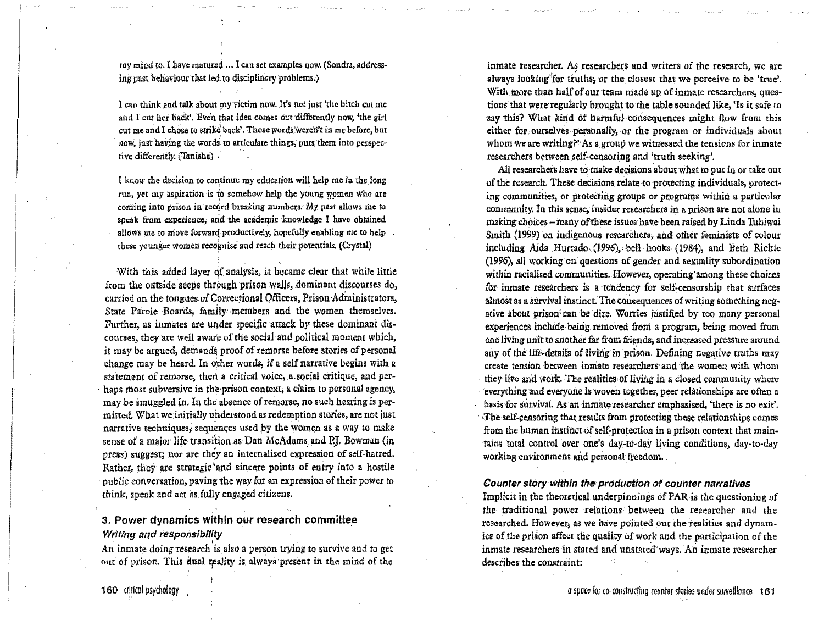my mind to. I have matured ... I can set examples now. (Sondra, address• ing past behaviour that led to disciplinary problems.)

I can think and talk about my victim now. It's not just 'the bitch cut me and I cut her back'. Even that idea comes out differently now, 'the girl cur me and I chose to strike back'. Those words weren't in me before, but now, just having the words to articulate things, puts them into perspective differently. (Tanisha) • ·

I know the decision to continue my education will help me in the long run, yet my aspiration is to somehow help the young women who are coming into prison in record breaking numbers. My past allows me to speak from experience, and the academic knowledge I have obtained allows me to move forward productively, hopefully enabling me to help these younger women recognise and reach their potentials. (Crystal)

With this added layer of analysis, it became clear that while little from the outside seeps through prison walls, dominant discourses do, carried on the tongues of Correctional Officers, Prison Administrators, State Parole Boards, family members and the women themselves. Further, as inmates are under specific attack by these dominant discourses, they are well aware of the social and political moment which, it may be argued, demands proof of remorse before stories of personal change may be heard. In oiher words, if a self narrative begins with a statement of remorse, then a critical voice, a social critique, and perhaps most subversive in the prison context, a claim to personal agency, may be smuggled in. In the absence of remorse, no such hearing is permitted. What we initially understood as redemption stories, are not just narrative techniques, sequences used by the women as a way to make sense of a major life transition as Dan McAdams and P.J. Bowman (in press) suggest; nor are they an internalised expression of self-hatred. Rather, they are strategic 'and sincere points of entry into a hostile public conversation, paving the way for an expression of their power to think, speak and act as fully engaged citizens.

# 3. Power dynamics within our research committee Writing and responsibility

An inmate doing research is also a person trying to survive and to get out of prison. This dual reality is always present in the mind of the

inmate researcher. As researchers and writers of the research, we are always looking for truths, or the closest that we perceive to be 'true'. With more than half of our team made up of inmate researchers, questions that were regularly brought to the table sounded like, 'Is it safe to say this? What kind of harmful consequences might flow from this either for, ourselves personally, or the program or individuals about whom we are writing?" As a group we witnessed the tensions for inmate researchers between self-censoring and 'truth seeking'.

All researchers have to make decisions about what to put in or take out of the research. These decisions relate to protecting individuals, protect• ing communities, or protecting groups or programs within a particular community. In this sense, insider researchers in a prison are not alone in making choices - many of these issues have been raised by Linda Tuhiwai Smith (1999) on indigenous researchers, and other feminists of colour including Aida Hurtado. (1996),:bell hooks (1984), and Beth Richie (1996), all working on· questions of gender and sexuality subordination within raciallsed communities. However, operating among these choices for inmate researchers is a tendency for self-censorship that surfaces almost as a survival instinct. The consequences of writing something negative about prison can be dire. Worries justified by too many personal experiences include being. removed from a program, being moved from one living unit to another far from friends, and inqreased pressure around any of the life-details of living in prison. Defining negative truths may create tension between inmate researchers· and the women with whom they live 'and work. The realities ·of living in a closed community where everything and everyone is woven together, peer relationships are often a basis for survival. As an inmate researcher emphasised, 'there is no exit'. The self-censoring that results from protecting these relationships comes from the human instinct of self-protection in a prison context that maintains total control over one's day-to-day living conditions, day-to-day working environment and personal freedom. . .

#### **Counter story within the production of counter narratives**

Implicit in the theoretical underpinnings of PAR is the questioning of the traditional power relations between the researcher and the researched. However, as we have pointed out the realities and dynamics of the prison affect the quality of work and the participation of the inmate researchers in stated and unstated'ways. An inmate researcher describes the constraint:

160 critical psychology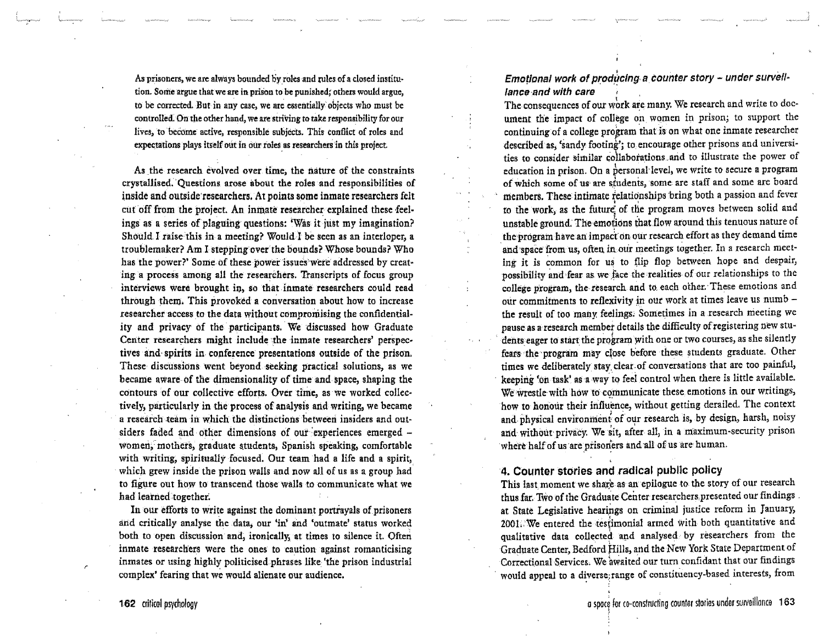As prisoners, we are always bounded by roles and rules of a closed institution. Some argue that we are in prison to be punished; others would argue, to be corrected. But in any case, we are essentially objects who must be controlled. On the other hand, **we** are striving to take responsibility for our lives, to become active, responsible subjects. This conflict of roles and expectations plays itself out in our roles as researchers in this project.

As the research evolved over. time, the nature of the constraints crystallised.· Questions arose about the roles and responsibilities of inside and outside researchers. At points some inmate researchers felt cut off from the project. An inmate researcher explained these feelings as a series of plaguing questions: 'Was it just my imagination? Should. I raise this in a meeting? Would-I be seen as an interloper, a troublemaker? Am l steppingover'the bounds? Whose bounds? Who has the power?' Some of these power issues were addressed by creating a process among all the researchers. Transcripts of focus group interviews were brought in, so that inmate researchers could read through them. This provoked a conversation about how to increase researcher access to the data without compromising the confidentiality and privacy of the participants. We discussed how Graduate Center researchers might include the inmate researchers' perspectives and spirits in conference presentations outside of the prison. These discussions went beyond seeking practical solutions, as we became aware of the dimensionality of time and space, shaping the contours of our collective efforts. Over time, as we worked collectively, particularly in die process of analysis and writing, we became a research team in which the distinctions between insiders and outsiders faded and other dimensions of our experiences emerged women, mothers, graduate students, Spanish speaking, comfortable with writing, spiritually focused. Our team had a life and a spirit, which grew inside the prison walls and now all of us as a group had to figure out how to transcend those walls to communicate what we had learned together.

In our efforts to write against the dominant portrayals of prisoners and critically analyse the data, our 'in' and 'outmate' status worked both to open discussion and, ironically, at times to silence it. Often inmate researchers were the ones to caution against romanticising inmates or using highly politicised phrases like. 'the prison industrial complex' fearing that we would alienate our audience.

### Emotional work of producing a counter story - under survell $\cdot$ lance-and with care

The consequences of our work are many. We research and write to document die impact of college on women in prison; to support the continuing of a college program that is on what one inmate researcher described as, 'sandy footing'; to encourage other prisons and universities to consider similar collaborations and to illustrate the power of education in prison. On a personal-level, we write to secure a program of which some of us are students, some are staff and some are board members. These intimate relationships bring both a passion and fever to the work, as the future of the program moves between solid and unstable ground. The emotions that flow around this tenuous nature of the program have an impact on our research effort as they demand time and space from us, often in our meetings together. In a research meeting it is common for us to flip flop between hope and despair, possibility and fear as we face the realities of our relationships to the college program, the research and to each other. These emotions and our commitments to reflexivity in our work at times leave us numb the result of too many feelings. Sometimes in a research meeting we pause as a research member details the difficulty of registering new students eager to start the program with one or two courses, as she silently fears the program may close before these students graduate. Other times we deliberately stay. clear. of conversations that are too painful, keeping 'on task' as a way to feel control when there is little available. We wrestle with how to communicate these emotions in our writings, how to honour their influence, without getting derailed. The context and physical environment of our research is, by design, harsh, noisy and without privacy. We sit, after all, in a maximum-security prison where half of us are prisoners and all of us are human.

## 4. Counter stories and radical public policy

This last moment we share as an epilogue to the story of our research thus.far. Two of the Graduate Center researchers.presented our findings . at State Legislative hearings on criminal justice reform in January, 2001. We entered the testimonial armed with both quantitative and qualitative data collected and analysed by researchers from the Graduate Center, Bedford Hills, and the New York State Department of Correctional Services. We awaited our turn confidant that our findings would appeal to a diverse range of constituency-based interests, from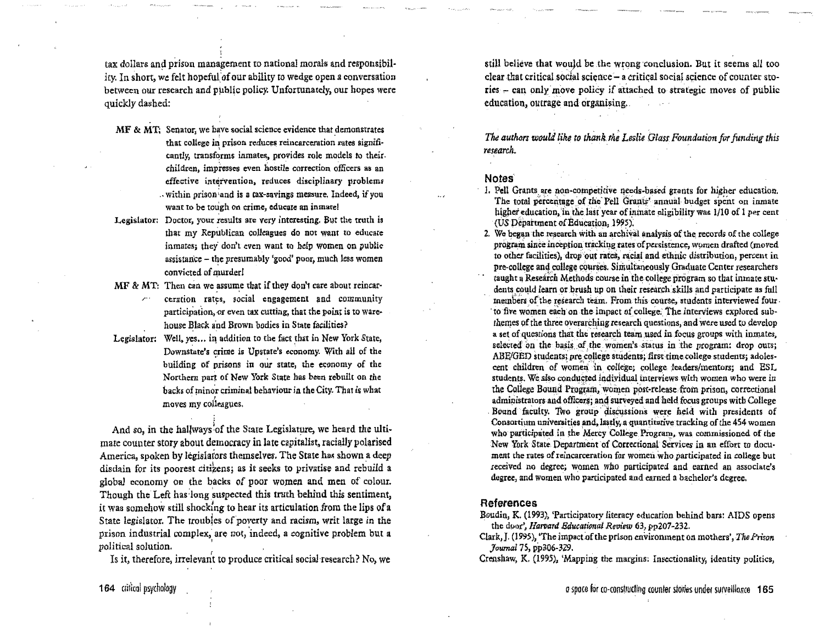tax dollars and prison management to national morals and responsibil· ity. In short, we felt hopeful of our ability to wedge open a conversation between our research and public policy. Unfortunately, our hopes were quickly dashed:

- **MF & MT;** Senator, we have social science evidence that demonstrates that college in prison reduces reincarceration rates significantly, transforms inmates, provides role models to their. children, impresses even hostile correction officers as an effective intervention, reduces disciplinary problems .. within prison ;and is a tax-savings measure, lndeed, if you want to be tough on crime, educate an inmate!
- Legislator: Doctor, your results are very interesting. But the truth is 1hat my Republican colleagues do not want to educate inmates; they' don't even want to help women on public assistance - the presumably 'good' poor, much less women convicted of murderl
- $MF \& MIT$ : Then can we assume that if they don't care about reincar
	- ceration rates, social engagement and community participation, or even tax cutting, that the point is to warehouse Black and Brown bodies in State facilities?

Legislator: Well, yes... in addition to the fact that in New York State, Downstate's crime is Upstate's economy. With all of the building of prisons in our state, the economy of the Northern part of New York State has been rebuilt on the backs of minor criminal behaviour in the City. That is what moves my colleagues.

And so, in the hallways of the State Legislature, we heard the ultimate counter story about democracy in late capitalist, racially polarised America, spoken by legislators themselves. The State has shown a deep disdain for its poorest citizens; as it seeks to privatise and rebuild a global economy on the backs of poor women and men of colour. Though the Left has long suspected this truth behind this sentiment, it was somehow still shocking to hear its articulation from the lips of a State legislator. The troubles of poverty and racism, writ large in the prison industrial complex, are not, indeed, a cognitive problem but a political solution.

Is it, therefore, irrelevant to produce critical social research? No, we

still believe that would be the wrong conclusion. But it seems all too  $clear$  that critical social science  $-$  a critical social science of counter stories - can only move policy if attached to strategic moves of public education, outrage and organising.

The authors would like to thank the Leslie Glass Foundation for funding this  $r$ *esearch.* 

#### **Notes**

- 1. Pell Grants are non-competitive needs-based grants for higher education. The total percentage of the Pell Grants' annual budget spent on inmate higher education, in the last year of inmate eligibility was 1/10 of 1 per cent (US Department of Education, 1995).
- 2. We began the research with an archival analysis of the records of the college program since inception tracking rates of persistence, women drafted (moved to other facilities), drop out rates, racial and ethnic distribution, percent in pre-college and college courses. Simultaneously Graduate Center researchers taught a Research Methods course in the college program so that inmate students could learn or brush up on their research skills and participate as full members of the research team. From this course, students interviewed fourto five women each on the impact of college. The interviews explored subthemes of the three overarching research questions, and were used to develop a set of questions that the research team used in focus groups with inmates, selected on the basis of the women's status in the program: drop outs; ABE/GED students; pre college students; first time college students; adolescent children of women in college; college leaders/mentors; and ESL students. We also conducted individual interviews with women who were in the College Bound Program, women post-release from prison, correctional administrators and officers; and surveyed and held focus groups with College Bound faculty. Two group discussions were held with presidents of Consortium universities and, lastly, a quantitative tracking of the 454 women who participated in the Mercy College Program, was commissioned of the New York State Department of Correctional Services in an effort to document the rates of reincarceration for women who participated in college but received no degree; women who participated and earned an associate's degree, and women who participated and earned a bachelor's degree.

#### **References**

- Boudin, K. (1993), 'Participatory literacy education behind bars: AIDS opens the dpor', *Harvard Educational Review* 63, pp207-232.
- Clark, J. (1995 ), 'The impact of the prison environment on mothers', *Tlw Prison Journal* 75, pp306-329.

Crenshaw, K. (1995), 'Mapping the margins: Inscctionality, identity politics,

a space for co-constructing counter stories under surveillance 165

164 cilical psychology